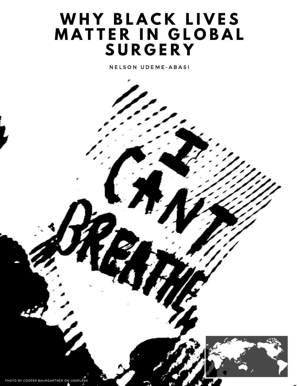## **W H Y B L A C K L I V E S M A T T E R I N G L O B A L S U R G E R Y**

**NELSON UDEME-ABASI** 

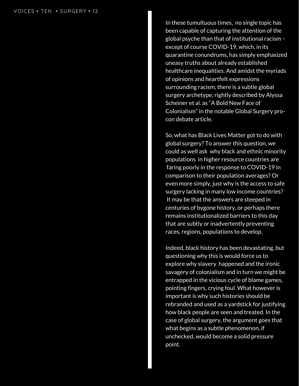In these tumultuous times, no single topic has been capable of capturing the attention of the glo b al p s y c h e t h a n t h a t o f in s tit u tio n al r a cis m – except of course COVID-19, which, in its q u a r a n tin e c o n u n d r u m s, h a s sim ply e m p h a siz e d uneasy truths about already established healthcare inequalities. And amidst the myriads of opinions and heartfelt expressions surrounding racism, there is a subtle global surgery archetype, rightly described by Aly s s a Scheiner et al. as "A Bold New Face of Colonialism" in the notable Global Surgery proc o n d e b a t e a r ticle.

So, what has Black Lives Matter got to do with global surgery? To answer this question, we could as well ask why black and ethnic minority populations in higher resource countries are faring poorly in the response to COVID-19 in comparison to their population averages? Or even more simply, just why is the access to safe surgery lacking in many low income countries? It may be that the answers are steeped in centuries of bygone history, or perhaps there remains institutionalized barriers to this day that are subtly or inadvertently preventing races, regions, populations to develop. POICES • TEN • SURGERY • 12<br>
In the been<br>
except<br>
except<br>
except<br>
durata<br>
durata<br>
means<br>
healt<br>
or surrous<br>
surrous<br>
So, wy<br>
alcohal<br>
colond<br>
colond<br>
point<br>
event<br>
except<br>
that index<br>
are surrous<br>
that index<br>
are surrous<br>

Indeed, black history has been devastating, but questioning why this is would force us to explore why slavery happened and the ironic savagery of colonialism and in turn we might be entrapped in the vicious cycle of blame games, pointing fingers, crying foul. What however is important is why such histories should be rebranded and used as a yardstick for justifying how black people are seen and treated. In the case of global surgery, the argument goes that what begins as a subtle phenomenon, if unchecked, would become a solid pressure